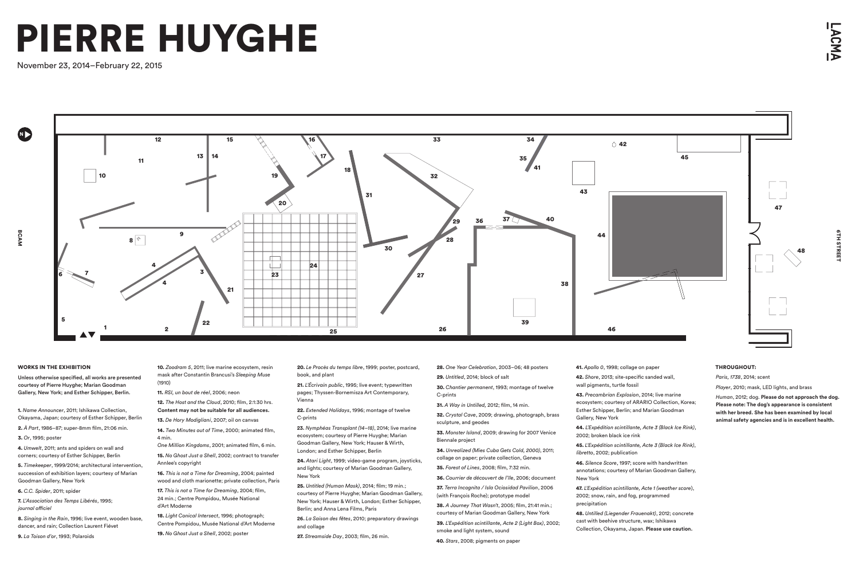### WORKS IN THE EXHIBITION

Unless otherwise specified, all works are presented courtesy of Pierre Huyghe; Marian Goodman Gallery, New York; and Esther Schipper, Berlin.

1. *Name Announcer*, 2011; Ishikawa Collection, Okayama, Japan; courtesy of Esther Schipper, Berlin

- 2. *À Part*, 1986–87; super-8mm film, 21:06 min.
- 3. *Or*, 1995; poster

4. *Umwelt*, 2011; ants and spiders on wall and corners; courtesy of Esther Schipper, Berlin

5. *Timekeeper*, 1999/2014; architectural intervention, succession of exhibition layers; courtesy of Marian Goodman Gallery, New York

6. *C.C. Spider*, 2011; spider

7. *L'Association des Temps Libérés*, 1995; *journal officiel*

8. *Singing in the Rain*, 1996; live event, wooden base, dancer, and rain; Collection Laurent Fiévet

9. *La Toison d'or*, 1993; Polaroids

20. *Le Procès du temps libre*, 1999; poster, postcard, book, and plant

21. *L'Écrivain public*, 1995; live event; typewritten pages; Thyssen-Bornemisza Art Contemporary, Vienna

22. *Extended Holidays*, 1996; montage of twelve C-prints

**23.** *Nymphéas Transplant (14–18)*, 2014; live marine ecosystem; courtesy of Pierre Huyghe; Marian Goodman Gallery, New York; Hauser & Wirth, London; and Esther Schipper, Berlin

24. *Atari Light*, 1999; video-game program, joysticks, and lights; courtesy of Marian Goodman Gallery, New York

25. *Untitled (Human Mask)*, 2014; film; 19 min.; courtesy of Pierre Huyghe; Marian Goodman Gallery, New York; Hauser & Wirth, London; Esther Schipper, Berlin; and Anna Lena Films, Paris

**26.** *La Saison des fêtes*, 2010; preparatory drawings and collage

27. *Streamside Day*, 2003; film, 26 min.

10. *Zoodram 5*, 2011; live marine ecosystem, resin mask after Constantin Brancusi's *Sleeping Muse* (1910)

11. *RSI, un bout de réel*, 2006; neon

12. *The Host and the Cloud*, 2010; film, 2:1:30 hrs. **Content may not be suitable for all audiences.**

13. *De Hory Modigliani*, 2007; oil on canvas

14. *Two Minutes out of Time*, 2000; animated film, 4 min.

*One Million Kingdoms*, 2001; animated film, 6 min.

15. *No Ghost Just a Shell*, 2002; contract to transfer Annlee's copyright

# **GTH STREET** 6TH STREET



16. *This is not a Time for Dreaming*, 2004; painted wood and cloth marionette; private collection, Paris

17. *This is not a Time for Dreaming*, 2004; film, 24 min.; Centre Pompidou, Musée National d'Art Moderne

18. *Light Conical Intersect*, 1996; photograph; Centre Pompidou, Musée National d'Art Moderne

19. *No Ghost Just a Shell*, 2002; poster

28. *One Year Celebration*, 2003–06; 48 posters

- 29. *Untitled*, 2014; block of salt
	- 30. *Chantier permanent*, 1993; montage of twelve C-prints
- 31. *A Way in Untilled,* 2012; film, 14 min.

32. *Crystal Cave*, 2009; drawing, photograph, brass sculpture, and geodes

33. *Monster Island*, 2009; drawing for 2007 Venice Biennale project

34. *Unrealized (Mies Cuba Gets Cold, 2000)*, 2011; collage on paper; private collection, Geneva

35. *Forest of Lines*, 2008; film, 7:32 min.

36. *Courrier de découvert de l'île*, 2006; document

37. *Terra Incognita / Isla Ociosidad Pavilion*, 2006 (with François Roche); prototype model

38. *A Journey That Wasn't*, 2005; film, 21:41 min.; courtesy of Marian Goodman Gallery, New York

39. *L'Expédition scintillante, Acte 2 (Light Box)*, 2002; smoke and light system, sound

40. *Stars*, 2008; pigments on paper

41. *Apollo 0*, 1998; collage on paper

- 42. *Shore*, 2013; site-specific sanded wall, wall pigments, turtle fossil
- 43. *Precambrian Explosion*, 2014; live marine ecosystem; courtesy of ARARIO Collection, Korea; Esther Schipper, Berlin; and Marian Goodman Gallery, New York
- 44. *L'Expédition scintillante, Acte 3 (Black Ice Rink)*, 2002; broken black ice rink
- 45. *L'Expédition scintillante, Acte 3 (Black Ice Rink)*, *libretto*, 2002; publication
- 46. *Silence Score*, 1997; score with handwritten annotations; courtesy of Marian Goodman Gallery,
- 47. *L'Expédition scintillante, Acte 1 (weather score*), 2002; snow, rain, and fog, programmed
- 48. *Untilled (Liegender Frauenakt)*, 2012; concrete cast with beehive structure, wax; Ishikawa Collection, Okayama, Japan. **Please use caution.**

New York

precipitation

## THROUGHOUT:

*Paris, 1738*, 2014; scent

*Player*, 2010; mask, LED lights, and brass

*Human*, 2012; dog. **Please do not approach the dog. Please note: The dog's appearance is consistent with her breed. She has been examined by local animal safety agencies and is in excellent health.**

# PIERRE HUYGHE

November 23, 2014–February 22, 2015